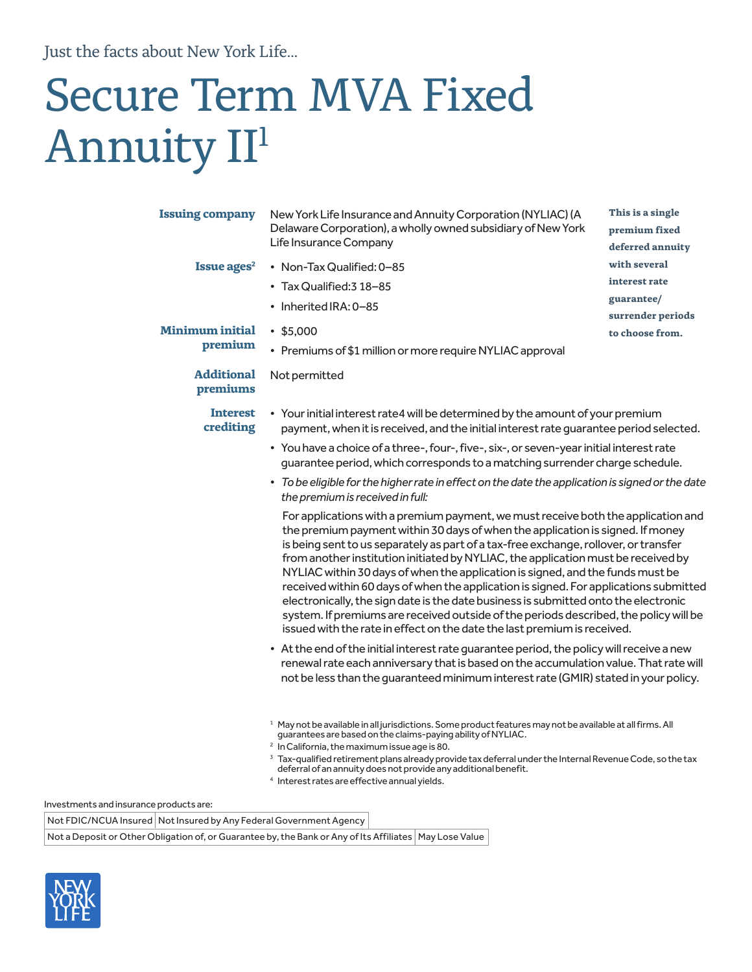Just the facts about New York Life...

# Secure Term MVA Fixed Annuity II<sup>1</sup>

| <b>Issuing company</b>            | New York Life Insurance and Annuity Corporation (NYLIAC) (A<br>Delaware Corporation), a wholly owned subsidiary of New York<br>Life Insurance Company                                                                                                                                                                                                                                                                                                                                                                                                                                                                                                                                                                                                                                   | This is a single<br>premium fixed<br>deferred annuity |  |  |  |  |
|-----------------------------------|-----------------------------------------------------------------------------------------------------------------------------------------------------------------------------------------------------------------------------------------------------------------------------------------------------------------------------------------------------------------------------------------------------------------------------------------------------------------------------------------------------------------------------------------------------------------------------------------------------------------------------------------------------------------------------------------------------------------------------------------------------------------------------------------|-------------------------------------------------------|--|--|--|--|
| Issue ages <sup>2</sup>           | • Non-Tax Qualified: 0-85                                                                                                                                                                                                                                                                                                                                                                                                                                                                                                                                                                                                                                                                                                                                                               | with several                                          |  |  |  |  |
|                                   | • Tax Qualified: 3 18-85                                                                                                                                                                                                                                                                                                                                                                                                                                                                                                                                                                                                                                                                                                                                                                | interest rate                                         |  |  |  |  |
|                                   | • Inherited IRA: 0-85                                                                                                                                                                                                                                                                                                                                                                                                                                                                                                                                                                                                                                                                                                                                                                   | guarantee/                                            |  |  |  |  |
|                                   |                                                                                                                                                                                                                                                                                                                                                                                                                                                                                                                                                                                                                                                                                                                                                                                         | surrender periods                                     |  |  |  |  |
| <b>Minimum initial</b><br>premium | •\$5,000<br>to choose from.                                                                                                                                                                                                                                                                                                                                                                                                                                                                                                                                                                                                                                                                                                                                                             |                                                       |  |  |  |  |
|                                   | • Premiums of \$1 million or more require NYLIAC approval                                                                                                                                                                                                                                                                                                                                                                                                                                                                                                                                                                                                                                                                                                                               |                                                       |  |  |  |  |
| <b>Additional</b><br>premiums     | Not permitted                                                                                                                                                                                                                                                                                                                                                                                                                                                                                                                                                                                                                                                                                                                                                                           |                                                       |  |  |  |  |
| <b>Interest</b><br>crediting      | • Your initial interest rate4 will be determined by the amount of your premium<br>payment, when it is received, and the initial interest rate quarantee period selected.                                                                                                                                                                                                                                                                                                                                                                                                                                                                                                                                                                                                                |                                                       |  |  |  |  |
|                                   | • You have a choice of a three-, four-, five-, six-, or seven-year initial interest rate<br>guarantee period, which corresponds to a matching surrender charge schedule.                                                                                                                                                                                                                                                                                                                                                                                                                                                                                                                                                                                                                |                                                       |  |  |  |  |
|                                   | • To be eligible for the higher rate in effect on the date the application is signed or the date<br>the premium is received in full:                                                                                                                                                                                                                                                                                                                                                                                                                                                                                                                                                                                                                                                    |                                                       |  |  |  |  |
|                                   | For applications with a premium payment, we must receive both the application and<br>the premium payment within 30 days of when the application is signed. If money<br>is being sent to us separately as part of a tax-free exchange, rollover, or transfer<br>from another institution initiated by NYLIAC, the application must be received by<br>NYLIAC within 30 days of when the application is signed, and the funds must be<br>received within 60 days of when the application is signed. For applications submitted<br>electronically, the sign date is the date business is submitted onto the electronic<br>system. If premiums are received outside of the periods described, the policy will be<br>issued with the rate in effect on the date the last premium is received. |                                                       |  |  |  |  |
|                                   | • At the end of the initial interest rate guarantee period, the policy will receive a new<br>renewal rate each anniversary that is based on the accumulation value. That rate will<br>not be less than the guaranteed minimum interest rate (GMIR) stated in your policy.                                                                                                                                                                                                                                                                                                                                                                                                                                                                                                               |                                                       |  |  |  |  |
|                                   | <sup>1</sup> May not be available in all jurisdictions. Some product features may not be available at all firms. All<br>guarantees are based on the claims-paying ability of NYLIAC.<br><sup>2</sup> In California, the maximum issue age is 80.<br><sup>3</sup> Tax-qualified retirement plans already provide tax deferral under the Internal Revenue Code, so the tax<br>deferral of an annuity does not provide any additional benefit.<br><sup>4</sup> Interest rates are effective annual yields.                                                                                                                                                                                                                                                                                 |                                                       |  |  |  |  |

Investments and insurance products are:

Not FDIC/NCUA Insured | Not Insured by Any Federal Government Agency

Not a Deposit or Other Obligation of, or Guarantee by, the Bank or Any of Its Affiliates | May Lose Value

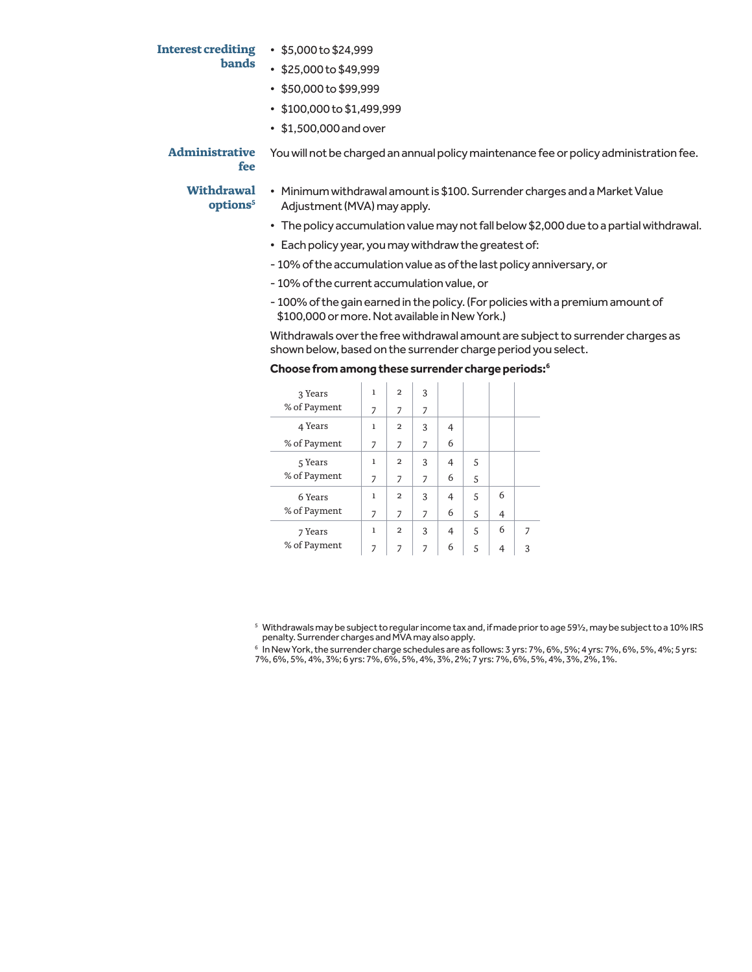## **bands**

- **Interest crediting**  \$5,000 to \$24,999
	- \$25,000 to \$49,999
	- \$50,000 to \$99,999
	- \$100,000 to \$1,499,999
	- \$1,500,000 and over

**Administrative fee** You will not be charged an annual policy maintenance fee or policy administration fee.

### **Withdrawal options5**

- Minimum withdrawal amount is \$100. Surrender charges and a Market Value Adjustment (MVA) may apply.
	- The policy accumulation value may not fall below \$2,000 due to a partial withdrawal.
	- Each policy year, you may withdraw the greatest of:
	- 10% of the accumulation value as of the last policy anniversary, or
	- 10% of the current accumulation value, or
	- 100% of the gain earned in the policy. (For policies with a premium amount of \$100,000 or more. Not available in New York.)

Withdrawals over the free withdrawal amount are subject to surrender charges as shown below, based on the surrender charge period you select.

#### **Choose from among these surrender charge periods:6**

| 3 Years      | 1            | $\overline{2}$ | 3              |   |   |   |                |
|--------------|--------------|----------------|----------------|---|---|---|----------------|
| % of Payment | 7            | 7              | 7              |   |   |   |                |
| 4 Years      | $\mathbf{1}$ | $\overline{2}$ | 3              | 4 |   |   |                |
| % of Payment | 7            | 7              | $\overline{z}$ | 6 |   |   |                |
| 5 Years      | 1            | $\overline{2}$ | 3              | 4 | 5 |   |                |
| % of Payment | 7            | 7              | $\overline{7}$ | 6 | 5 |   |                |
| 6 Years      | $\mathbf{1}$ | $\overline{2}$ | 3              | 4 | 5 | 6 |                |
| % of Payment | 7            | 7              | 7              | 6 | 5 | 4 |                |
| 7 Years      | 1            | $\overline{2}$ | 3              | 4 | 5 | 6 | $\overline{7}$ |
| % of Payment | 7            | $\overline{7}$ | $\overline{7}$ | 6 | 5 | 4 | 3              |

5 Withdrawals may be subject to regular income tax and, if made prior to age 59½, may be subject to a 10% IRS penalty. Surrender charges and MVA may also apply.

 $^6$  In New York, the surrender charge schedules are as follows: 3 yrs: 7%, 6%, 5%; 4 yrs: 7%, 6%, 5%, 4%; 5 yrs: 7%, 6%, 5%, 4%, 3%; 6 yrs: 7%, 6%, 5%, 4%, 3%, 2%; 7 yrs: 7%, 6%, 5%, 4%, 3%, 2%, 1%.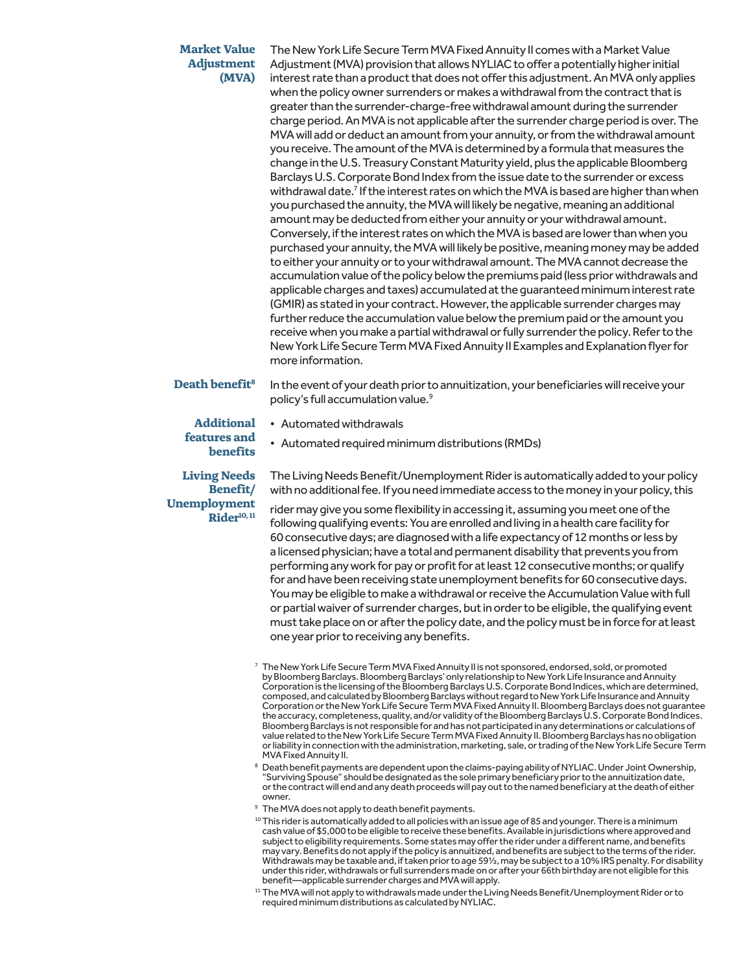#### **Market Value Adjustment (MVA)**

The New York Life Secure Term MVA Fixed Annuity II comes with a Market Value Adjustment (MVA) provision that allows NYLIAC to offer a potentially higher initial interest rate than a product that does not offer this adjustment. An MVA only applies when the policy owner surrenders or makes a withdrawal from the contract that is greater than the surrender-charge-free withdrawal amount during the surrender charge period. An MVA is not applicable after the surrender charge period is over. The MVA will add or deduct an amount from your annuity, or from the withdrawal amount you receive. The amount of the MVA is determined by a formula that measures the change in the U.S. Treasury Constant Maturity yield, plus the applicable Bloomberg Barclays U.S. Corporate Bond Index from the issue date to the surrender or excess withdrawal date.<sup>7</sup> If the interest rates on which the MVA is based are higher than when you purchased the annuity, the MVA will likely be negative, meaning an additional amount may be deducted from either your annuity or your withdrawal amount. Conversely, if the interest rates on which the MVA is based are lower than when you purchased your annuity, the MVA will likely be positive, meaning money may be added to either your annuity or to your withdrawal amount. The MVA cannot decrease the accumulation value of the policy below the premiums paid (less prior withdrawals and applicable charges and taxes) accumulated at the guaranteed minimum interest rate (GMIR) as stated in your contract. However, the applicable surrender charges may further reduce the accumulation value below the premium paid or the amount you receive when you make a partial withdrawal or fully surrender the policy. Refer to the New York Life Secure Term MVA Fixed Annuity II Examples and Explanation flyer for more information.

**Death benefit<sup>8</sup>** In the event of your death prior to annuitization, your beneficiaries will receive your policy's full accumulation value.<sup>9</sup>

#### **Additional features and benefits**

**Living Needs Benefit/ Unemployment Rider10, 11** • Automated withdrawals

• Automated required minimum distributions (RMDs)

The Living Needs Benefit/Unemployment Rider is automatically added to your policy with no additional fee. If you need immediate access to the money in your policy, this

rider may give you some flexibility in accessing it, assuming you meet one of the following qualifying events: You are enrolled and living in a health care facility for 60 consecutive days; are diagnosed with a life expectancy of 12 months or less by a licensed physician; have a total and permanent disability that prevents you from performing any work for pay or profit for at least 12 consecutive months; or qualify for and have been receiving state unemployment benefits for 60 consecutive days. You may be eligible to make a withdrawal or receive the Accumulation Value with full or partial waiver of surrender charges, but in order to be eligible, the qualifying event must take place on or after the policy date, and the policy must be in force for at least one year prior to receiving any benefits.

- 7 The New York Life Secure Term MVA Fixed Annuity II is not sponsored, endorsed, sold, or promoted by Bloomberg Barclays. Bloomberg Barclays' only relationship to New York Life Insurance and Annuity Corporation is the licensing of the Bloomberg Barclays U.S. Corporate Bond Indices, which are determined, composed, and calculated by Bloomberg Barclays without regard to New York Life Insurance and Annuity Corporation or the New York Life Secure Term MVA Fixed Annuity II. Bloomberg Barclays does not guarantee the accuracy, completeness, quality, and/or validity of the Bloomberg Barclays U.S. Corporate Bond Indices. Bloomberg Barclays is not responsible for and has not participated in any determinations or calculations of value related to the New York Life Secure Term MVA Fixed Annuity II. Bloomberg Barclays has no obligation or liability in connection with the administration, marketing, sale, or trading of the New York Life Secure Term MVA Fixed Annuity II.
- <sup>8</sup> Death benefit payments are dependent upon the claims-paying ability of NYLIAC. Under Joint Ownership, "Surviving Spouse" should be designated as the sole primary beneficiary prior to the annuitization date, or the contract will end and any death proceeds will pay out to the named beneficiary at the death of either owner.
- <sup>9</sup> The MVA does not apply to death benefit payments.
- <sup>10</sup> This rider is automatically added to all policies with an issue age of 85 and younger. There is a minimum cash value of \$5,000 to be eligible to receive these benefits. Available in jurisdictions where approved and subject to eligibility requirements. Some states may offer the rider under a different name, and benefits may vary. Benefits do not apply if the policy is annuitized, and benefits are subject to the terms of the rider. Withdrawals may be taxable and, if taken prior to age 59½, may be subject to a 10% IRS penalty. For disability under this rider, withdrawals or full surrenders made on or after your 66th birthday are not eligible for this benefit—applicable surrender charges and MVA will apply.
- <sup>11</sup> The MVA will not apply to withdrawals made under the Living Needs Benefit/Unemployment Rider or to required minimum distributions as calculated by NYLIAC.